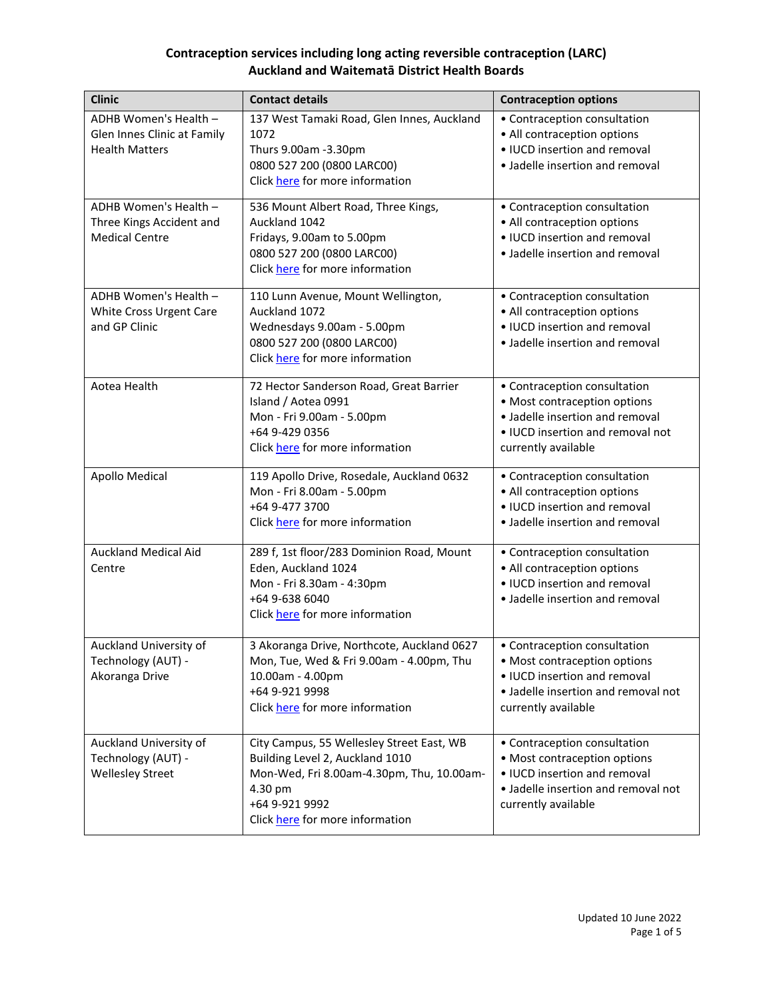| <b>Clinic</b>                                                                 | <b>Contact details</b>                                                                                                                                                                    | <b>Contraception options</b>                                                                                                                               |
|-------------------------------------------------------------------------------|-------------------------------------------------------------------------------------------------------------------------------------------------------------------------------------------|------------------------------------------------------------------------------------------------------------------------------------------------------------|
| ADHB Women's Health -<br>Glen Innes Clinic at Family<br><b>Health Matters</b> | 137 West Tamaki Road, Glen Innes, Auckland<br>1072<br>Thurs 9.00am -3.30pm<br>0800 527 200 (0800 LARC00)<br>Click here for more information                                               | • Contraception consultation<br>• All contraception options<br>• IUCD insertion and removal<br>• Jadelle insertion and removal                             |
| ADHB Women's Health -<br>Three Kings Accident and<br><b>Medical Centre</b>    | 536 Mount Albert Road, Three Kings,<br>Auckland 1042<br>Fridays, 9.00am to 5.00pm<br>0800 527 200 (0800 LARC00)<br>Click here for more information                                        | • Contraception consultation<br>• All contraception options<br>• IUCD insertion and removal<br>• Jadelle insertion and removal                             |
| ADHB Women's Health -<br>White Cross Urgent Care<br>and GP Clinic             | 110 Lunn Avenue, Mount Wellington,<br>Auckland 1072<br>Wednesdays 9.00am - 5.00pm<br>0800 527 200 (0800 LARC00)<br>Click here for more information                                        | • Contraception consultation<br>• All contraception options<br>• IUCD insertion and removal<br>• Jadelle insertion and removal                             |
| Aotea Health                                                                  | 72 Hector Sanderson Road, Great Barrier<br>Island / Aotea 0991<br>Mon - Fri 9.00am - 5.00pm<br>+64 9-429 0356<br>Click here for more information                                          | • Contraception consultation<br>• Most contraception options<br>• Jadelle insertion and removal<br>• IUCD insertion and removal not<br>currently available |
| Apollo Medical                                                                | 119 Apollo Drive, Rosedale, Auckland 0632<br>Mon - Fri 8.00am - 5.00pm<br>+64 9-477 3700<br>Click here for more information                                                               | • Contraception consultation<br>• All contraception options<br>• IUCD insertion and removal<br>• Jadelle insertion and removal                             |
| <b>Auckland Medical Aid</b><br>Centre                                         | 289 f, 1st floor/283 Dominion Road, Mount<br>Eden, Auckland 1024<br>Mon - Fri 8.30am - 4:30pm<br>+64 9-638 6040<br>Click here for more information                                        | • Contraception consultation<br>• All contraception options<br>• IUCD insertion and removal<br>• Jadelle insertion and removal                             |
| Auckland University of<br>Technology (AUT) -<br>Akoranga Drive                | 3 Akoranga Drive, Northcote, Auckland 0627<br>Mon, Tue, Wed & Fri 9.00am - 4.00pm, Thu<br>10.00am - 4.00pm<br>+64 9-921 9998<br>Click here for more information                           | • Contraception consultation<br>• Most contraception options<br>• IUCD insertion and removal<br>• Jadelle insertion and removal not<br>currently available |
| Auckland University of<br>Technology (AUT) -<br><b>Wellesley Street</b>       | City Campus, 55 Wellesley Street East, WB<br>Building Level 2, Auckland 1010<br>Mon-Wed, Fri 8.00am-4.30pm, Thu, 10.00am-<br>4.30 pm<br>+64 9-921 9992<br>Click here for more information | • Contraception consultation<br>• Most contraception options<br>• IUCD insertion and removal<br>• Jadelle insertion and removal not<br>currently available |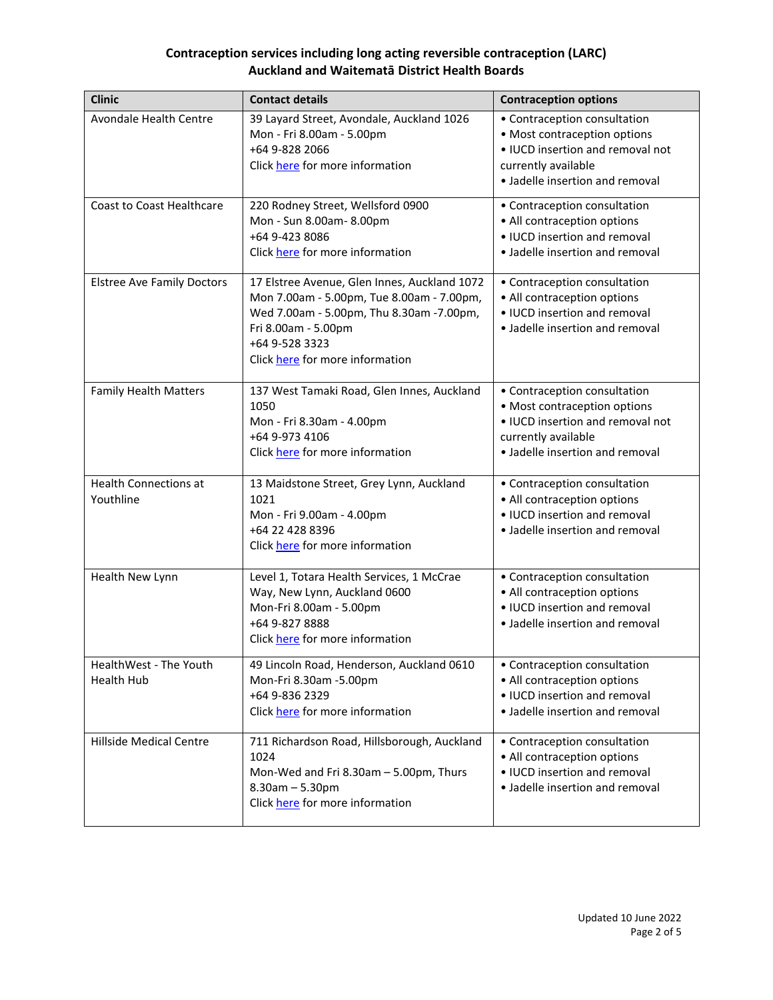| <b>Clinic</b>                               | <b>Contact details</b>                                                                                                                                                                                             | <b>Contraception options</b>                                                                                                                               |
|---------------------------------------------|--------------------------------------------------------------------------------------------------------------------------------------------------------------------------------------------------------------------|------------------------------------------------------------------------------------------------------------------------------------------------------------|
| Avondale Health Centre                      | 39 Layard Street, Avondale, Auckland 1026<br>Mon - Fri 8.00am - 5.00pm<br>+64 9-828 2066<br>Click here for more information                                                                                        | • Contraception consultation<br>• Most contraception options<br>• IUCD insertion and removal not<br>currently available<br>• Jadelle insertion and removal |
| <b>Coast to Coast Healthcare</b>            | 220 Rodney Street, Wellsford 0900<br>Mon - Sun 8.00am-8.00pm<br>+64 9-423 8086<br>Click here for more information                                                                                                  | • Contraception consultation<br>• All contraception options<br>• IUCD insertion and removal<br>• Jadelle insertion and removal                             |
| <b>Elstree Ave Family Doctors</b>           | 17 Elstree Avenue, Glen Innes, Auckland 1072<br>Mon 7.00am - 5.00pm, Tue 8.00am - 7.00pm,<br>Wed 7.00am - 5.00pm, Thu 8.30am - 7.00pm,<br>Fri 8.00am - 5.00pm<br>+64 9-528 3323<br>Click here for more information | • Contraception consultation<br>• All contraception options<br>• IUCD insertion and removal<br>• Jadelle insertion and removal                             |
| <b>Family Health Matters</b>                | 137 West Tamaki Road, Glen Innes, Auckland<br>1050<br>Mon - Fri 8.30am - 4.00pm<br>+64 9-973 4106<br>Click here for more information                                                                               | • Contraception consultation<br>• Most contraception options<br>• IUCD insertion and removal not<br>currently available<br>• Jadelle insertion and removal |
| <b>Health Connections at</b><br>Youthline   | 13 Maidstone Street, Grey Lynn, Auckland<br>1021<br>Mon - Fri 9.00am - 4.00pm<br>+64 22 428 8396<br>Click here for more information                                                                                | • Contraception consultation<br>• All contraception options<br>• IUCD insertion and removal<br>• Jadelle insertion and removal                             |
| Health New Lynn                             | Level 1, Totara Health Services, 1 McCrae<br>Way, New Lynn, Auckland 0600<br>Mon-Fri 8.00am - 5.00pm<br>+64 9-827 8888<br>Click here for more information                                                          | • Contraception consultation<br>• All contraception options<br>• IUCD insertion and removal<br>• Jadelle insertion and removal                             |
| HealthWest - The Youth<br><b>Health Hub</b> | 49 Lincoln Road, Henderson, Auckland 0610<br>Mon-Fri 8.30am -5.00pm<br>+64 9-836 2329<br>Click here for more information                                                                                           | • Contraception consultation<br>• All contraception options<br>• IUCD insertion and removal<br>• Jadelle insertion and removal                             |
| <b>Hillside Medical Centre</b>              | 711 Richardson Road, Hillsborough, Auckland<br>1024<br>Mon-Wed and Fri 8.30am - 5.00pm, Thurs<br>$8.30$ am $- 5.30$ pm<br>Click here for more information                                                          | • Contraception consultation<br>• All contraception options<br>· IUCD insertion and removal<br>• Jadelle insertion and removal                             |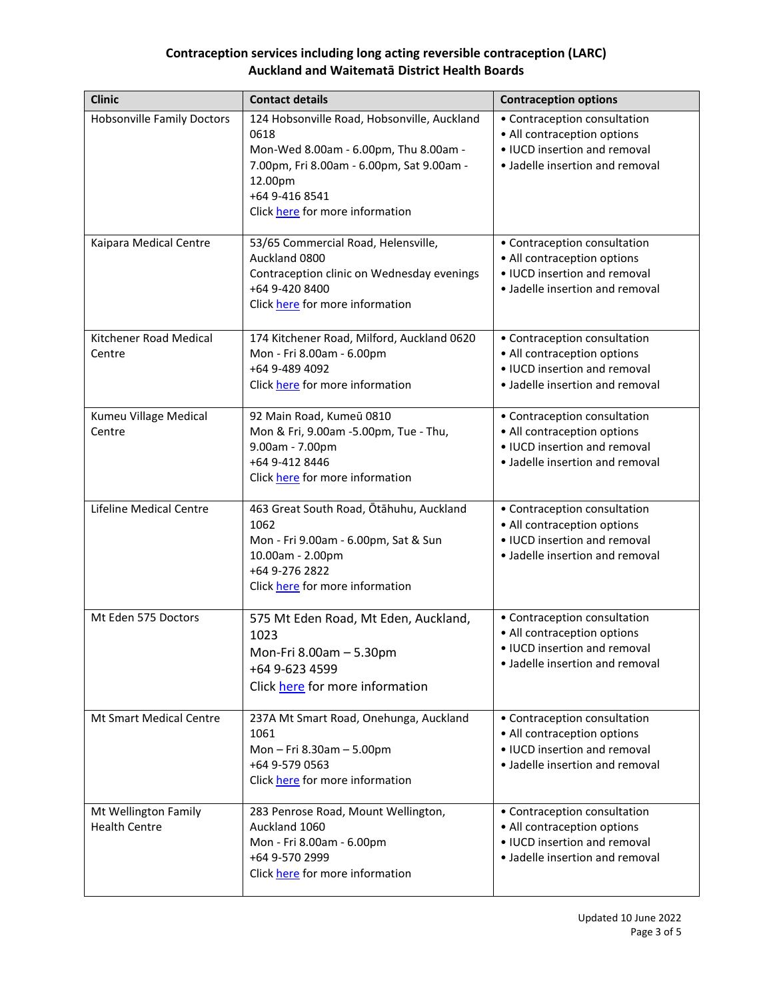| <b>Clinic</b>                                | <b>Contact details</b>                                                                                                                                                                                    | <b>Contraception options</b>                                                                                                   |
|----------------------------------------------|-----------------------------------------------------------------------------------------------------------------------------------------------------------------------------------------------------------|--------------------------------------------------------------------------------------------------------------------------------|
| <b>Hobsonville Family Doctors</b>            | 124 Hobsonville Road, Hobsonville, Auckland<br>0618<br>Mon-Wed 8.00am - 6.00pm, Thu 8.00am -<br>7.00pm, Fri 8.00am - 6.00pm, Sat 9.00am -<br>12.00pm<br>+64 9-416 8541<br>Click here for more information | • Contraception consultation<br>• All contraception options<br>• IUCD insertion and removal<br>· Jadelle insertion and removal |
| Kaipara Medical Centre                       | 53/65 Commercial Road, Helensville,<br>Auckland 0800<br>Contraception clinic on Wednesday evenings<br>+64 9-420 8400<br>Click here for more information                                                   | • Contraception consultation<br>• All contraception options<br>• IUCD insertion and removal<br>• Jadelle insertion and removal |
| Kitchener Road Medical<br>Centre             | 174 Kitchener Road, Milford, Auckland 0620<br>Mon - Fri 8.00am - 6.00pm<br>+64 9-489 4092<br>Click here for more information                                                                              | • Contraception consultation<br>• All contraception options<br>• IUCD insertion and removal<br>• Jadelle insertion and removal |
| Kumeu Village Medical<br>Centre              | 92 Main Road, Kumeū 0810<br>Mon & Fri, 9.00am -5.00pm, Tue - Thu,<br>9.00am - 7.00pm<br>+64 9-412 8446<br>Click here for more information                                                                 | • Contraception consultation<br>• All contraception options<br>• IUCD insertion and removal<br>• Jadelle insertion and removal |
| <b>Lifeline Medical Centre</b>               | 463 Great South Road, Ōtāhuhu, Auckland<br>1062<br>Mon - Fri 9.00am - 6.00pm, Sat & Sun<br>10.00am - 2.00pm<br>+64 9-276 2822<br>Click here for more information                                          | • Contraception consultation<br>• All contraception options<br>• IUCD insertion and removal<br>• Jadelle insertion and removal |
| Mt Eden 575 Doctors                          | 575 Mt Eden Road, Mt Eden, Auckland,<br>1023<br>Mon-Fri 8.00am - 5.30pm<br>+64 9-623 4599<br>Click here for more information                                                                              | • Contraception consultation<br>• All contraception options<br>• IUCD insertion and removal<br>• Jadelle insertion and removal |
| Mt Smart Medical Centre                      | 237A Mt Smart Road, Onehunga, Auckland<br>1061<br>Mon-Fri 8.30am-5.00pm<br>+64 9-579 0563<br>Click here for more information                                                                              | • Contraception consultation<br>• All contraception options<br>• IUCD insertion and removal<br>• Jadelle insertion and removal |
| Mt Wellington Family<br><b>Health Centre</b> | 283 Penrose Road, Mount Wellington,<br>Auckland 1060<br>Mon - Fri 8.00am - 6.00pm<br>+64 9-570 2999<br>Click here for more information                                                                    | • Contraception consultation<br>• All contraception options<br>• IUCD insertion and removal<br>• Jadelle insertion and removal |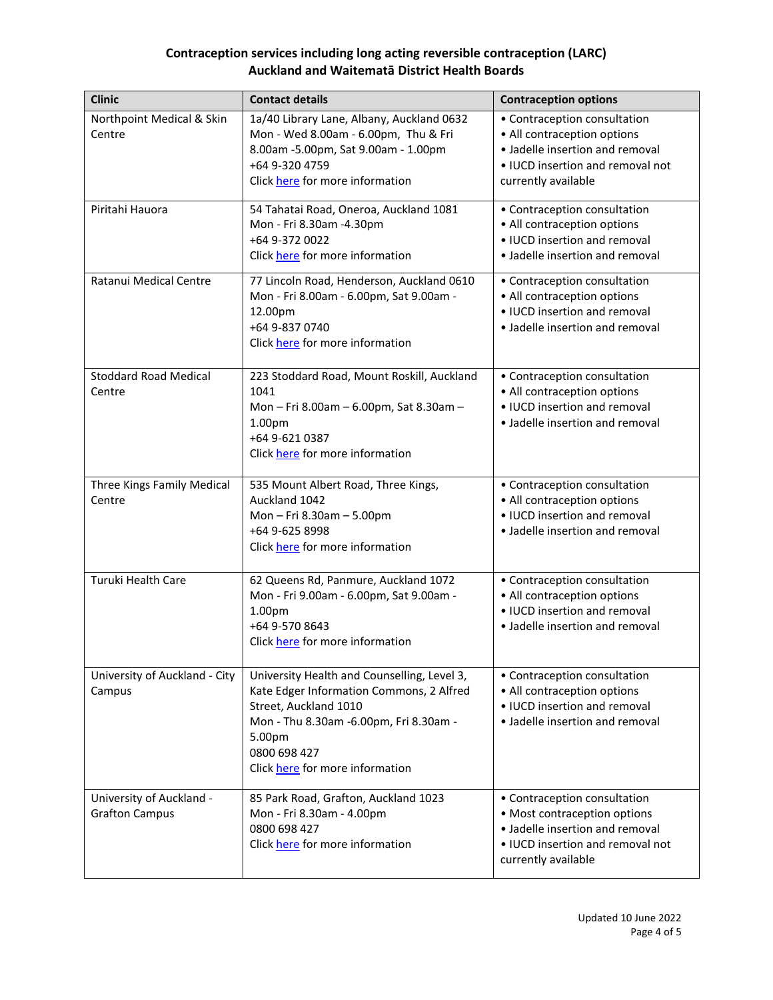| <b>Clinic</b>                                     | <b>Contact details</b>                                                                                                                                                                                                  | <b>Contraception options</b>                                                                                                                               |
|---------------------------------------------------|-------------------------------------------------------------------------------------------------------------------------------------------------------------------------------------------------------------------------|------------------------------------------------------------------------------------------------------------------------------------------------------------|
| Northpoint Medical & Skin<br>Centre               | 1a/40 Library Lane, Albany, Auckland 0632<br>Mon - Wed 8.00am - 6.00pm, Thu & Fri<br>8.00am -5.00pm, Sat 9.00am - 1.00pm<br>+64 9-320 4759<br>Click here for more information                                           | • Contraception consultation<br>• All contraception options<br>· Jadelle insertion and removal<br>• IUCD insertion and removal not<br>currently available  |
| Piritahi Hauora                                   | 54 Tahatai Road, Oneroa, Auckland 1081<br>Mon - Fri 8.30am -4.30pm<br>+64 9-372 0022<br>Click here for more information                                                                                                 | • Contraception consultation<br>• All contraception options<br>• IUCD insertion and removal<br>• Jadelle insertion and removal                             |
| Ratanui Medical Centre                            | 77 Lincoln Road, Henderson, Auckland 0610<br>Mon - Fri 8.00am - 6.00pm, Sat 9.00am -<br>12.00pm<br>+64 9-837 0740<br>Click here for more information                                                                    | • Contraception consultation<br>• All contraception options<br>• IUCD insertion and removal<br>• Jadelle insertion and removal                             |
| <b>Stoddard Road Medical</b><br>Centre            | 223 Stoddard Road, Mount Roskill, Auckland<br>1041<br>Mon - Fri 8.00am - 6.00pm, Sat 8.30am -<br>1.00pm<br>+64 9-621 0387<br>Click here for more information                                                            | • Contraception consultation<br>• All contraception options<br>• IUCD insertion and removal<br>• Jadelle insertion and removal                             |
| Three Kings Family Medical<br>Centre              | 535 Mount Albert Road, Three Kings,<br>Auckland 1042<br>Mon-Fri 8.30am-5.00pm<br>+64 9-625 8998<br>Click here for more information                                                                                      | • Contraception consultation<br>• All contraception options<br>• IUCD insertion and removal<br>• Jadelle insertion and removal                             |
| Turuki Health Care                                | 62 Queens Rd, Panmure, Auckland 1072<br>Mon - Fri 9.00am - 6.00pm, Sat 9.00am -<br>1.00 <sub>pm</sub><br>+64 9-570 8643<br>Click here for more information                                                              | • Contraception consultation<br>• All contraception options<br>• IUCD insertion and removal<br>• Jadelle insertion and removal                             |
| University of Auckland - City<br>Campus           | University Health and Counselling, Level 3,<br>Kate Edger Information Commons, 2 Alfred<br>Street, Auckland 1010<br>Mon - Thu 8.30am -6.00pm, Fri 8.30am -<br>5.00pm<br>0800 698 427<br>Click here for more information | • Contraception consultation<br>• All contraception options<br>• IUCD insertion and removal<br>• Jadelle insertion and removal                             |
| University of Auckland -<br><b>Grafton Campus</b> | 85 Park Road, Grafton, Auckland 1023<br>Mon - Fri 8.30am - 4.00pm<br>0800 698 427<br>Click here for more information                                                                                                    | • Contraception consultation<br>• Most contraception options<br>• Jadelle insertion and removal<br>• IUCD insertion and removal not<br>currently available |